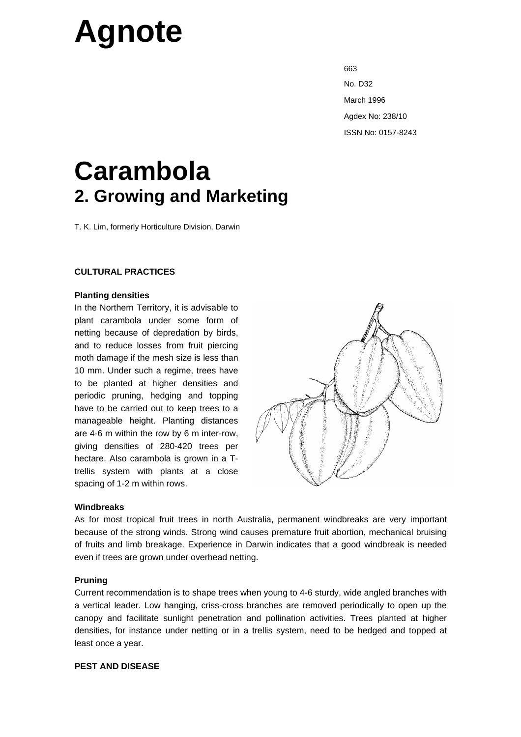# **Agnote**

external contracts of the contracts of the contracts of the contracts of the contracts of the contracts of the contracts of the contracts of the contracts of the contracts of the contracts of the contracts of the contracts No. D32 March 1996 Agdex No: 238/10 ISSN No: 0157-8243

# **Carambola 2. Growing and Marketing**

T. K. Lim, formerly Horticulture Division, Darwin

# **CULTURAL PRACTICES**

## **Planting densities**

In the Northern Territory, it is advisable to plant carambola under some form of netting because of depredation by birds, and to reduce losses from fruit piercing moth damage if the mesh size is less than 10 mm. Under such a regime, trees have to be planted at higher densities and periodic pruning, hedging and topping have to be carried out to keep trees to a manageable height. Planting distances are 4-6 m within the row by 6 m inter-row, giving densities of 280-420 trees per hectare. Also carambola is grown in a Ttrellis system with plants at a close spacing of 1-2 m within rows.



#### **Windbreaks**

As for most tropical fruit trees in north Australia, permanent windbreaks are very important because of the strong winds. Strong wind causes premature fruit abortion, mechanical bruising of fruits and limb breakage. Experience in Darwin indicates that a good windbreak is needed even if trees are grown under overhead netting.

# **Pruning**

Current recommendation is to shape trees when young to 4-6 sturdy, wide angled branches with a vertical leader. Low hanging, criss-cross branches are removed periodically to open up the canopy and facilitate sunlight penetration and pollination activities. Trees planted at higher densities, for instance under netting or in a trellis system, need to be hedged and topped at least once a year.

# **PEST AND DISEASE**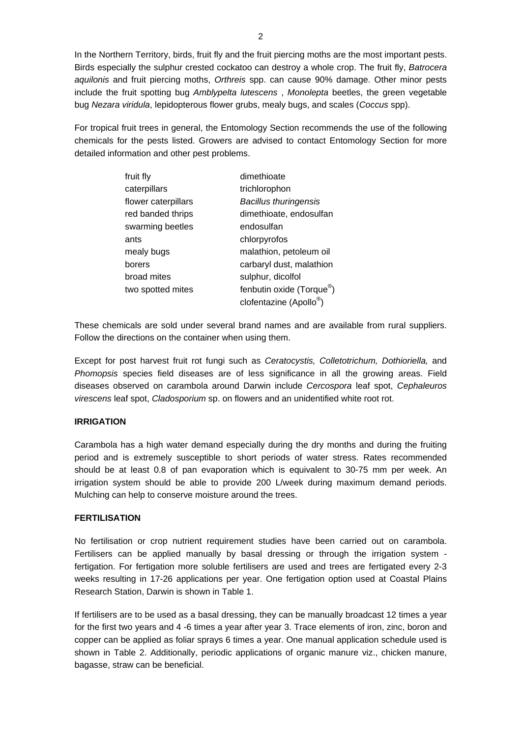In the Northern Territory, birds, fruit fly and the fruit piercing moths are the most important pests. Birds especially the sulphur crested cockatoo can destroy a whole crop. The fruit fly, *Batrocera aquilonis* and fruit piercing moths, *Orthreis* spp. can cause 90% damage. Other minor pests include the fruit spotting bug *Amblypelta lutescens* , *Monolepta* beetles, the green vegetable bug *Nezara viridula*, lepidopterous flower grubs, mealy bugs, and scales (*Coccus* spp).

For tropical fruit trees in general, the Entomology Section recommends the use of the following chemicals for the pests listed. Growers are advised to contact Entomology Section for more detailed information and other pest problems.

| fruit fly           | dimethioate                           |  |  |
|---------------------|---------------------------------------|--|--|
| caterpillars        | trichlorophon                         |  |  |
| flower caterpillars | <b>Bacillus thuringensis</b>          |  |  |
| red banded thrips   | dimethioate, endosulfan               |  |  |
| swarming beetles    | endosulfan                            |  |  |
| ants                | chlorpyrofos                          |  |  |
| mealy bugs          | malathion, petoleum oil               |  |  |
| borers              | carbaryl dust, malathion              |  |  |
| broad mites         | sulphur, dicolfol                     |  |  |
| two spotted mites   | fenbutin oxide (Torque <sup>®</sup> ) |  |  |
|                     | clofentazine (Apollo <sup>®</sup>     |  |  |

These chemicals are sold under several brand names and are available from rural suppliers. Follow the directions on the container when using them.

Except for post harvest fruit rot fungi such as *Ceratocystis, Colletotrichum, Dothioriella,* and *Phomopsis* species field diseases are of less significance in all the growing areas. Field diseases observed on carambola around Darwin include *Cercospora* leaf spot, *Cephaleuros virescens* leaf spot, *Cladosporium* sp. on flowers and an unidentified white root rot.

# **IRRIGATION**

Carambola has a high water demand especially during the dry months and during the fruiting period and is extremely susceptible to short periods of water stress. Rates recommended should be at least 0.8 of pan evaporation which is equivalent to 30-75 mm per week. An irrigation system should be able to provide 200 L/week during maximum demand periods. Mulching can help to conserve moisture around the trees.

# **FERTILISATION**

No fertilisation or crop nutrient requirement studies have been carried out on carambola. Fertilisers can be applied manually by basal dressing or through the irrigation system fertigation. For fertigation more soluble fertilisers are used and trees are fertigated every 2-3 weeks resulting in 17-26 applications per year. One fertigation option used at Coastal Plains Research Station, Darwin is shown in Table 1.

If fertilisers are to be used as a basal dressing, they can be manually broadcast 12 times a year for the first two years and 4 -6 times a year after year 3. Trace elements of iron, zinc, boron and copper can be applied as foliar sprays 6 times a year. One manual application schedule used is shown in Table 2. Additionally, periodic applications of organic manure viz., chicken manure, bagasse, straw can be beneficial.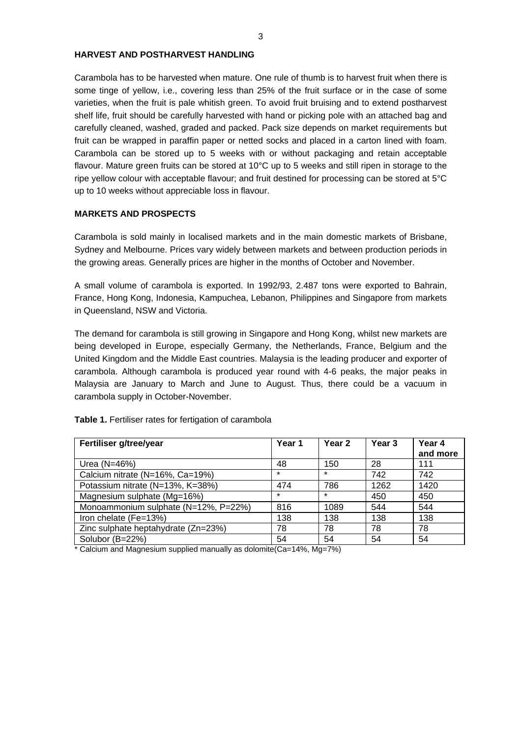# **HARVEST AND POSTHARVEST HANDLING**

Carambola has to be harvested when mature. One rule of thumb is to harvest fruit when there is some tinge of yellow, i.e., covering less than 25% of the fruit surface or in the case of some varieties, when the fruit is pale whitish green. To avoid fruit bruising and to extend postharvest shelf life, fruit should be carefully harvested with hand or picking pole with an attached bag and carefully cleaned, washed, graded and packed. Pack size depends on market requirements but fruit can be wrapped in paraffin paper or netted socks and placed in a carton lined with foam. Carambola can be stored up to 5 weeks with or without packaging and retain acceptable flavour. Mature green fruits can be stored at 10°C up to 5 weeks and still ripen in storage to the ripe yellow colour with acceptable flavour; and fruit destined for processing can be stored at 5°C up to 10 weeks without appreciable loss in flavour.

#### **MARKETS AND PROSPECTS**

Carambola is sold mainly in localised markets and in the main domestic markets of Brisbane, Sydney and Melbourne. Prices vary widely between markets and between production periods in the growing areas. Generally prices are higher in the months of October and November.

A small volume of carambola is exported. In 1992/93, 2.487 tons were exported to Bahrain, France, Hong Kong, Indonesia, Kampuchea, Lebanon, Philippines and Singapore from markets in Queensland, NSW and Victoria.

The demand for carambola is still growing in Singapore and Hong Kong, whilst new markets are being developed in Europe, especially Germany, the Netherlands, France, Belgium and the United Kingdom and the Middle East countries. Malaysia is the leading producer and exporter of carambola. Although carambola is produced year round with 4-6 peaks, the major peaks in Malaysia are January to March and June to August. Thus, there could be a vacuum in carambola supply in October-November.

| Fertiliser g/tree/year               | Year 1  | Year 2  | Year 3 | Year 4<br>and more |
|--------------------------------------|---------|---------|--------|--------------------|
| Urea (N=46%)                         | 48      | 150     | 28     | 111                |
| Calcium nitrate (N=16%, Ca=19%)      | $\star$ | $\star$ | 742    | 742                |
| Potassium nitrate (N=13%, K=38%)     | 474     | 786     | 1262   | 1420               |
| Magnesium sulphate (Mg=16%)          | $\star$ | $\star$ | 450    | 450                |
| Monoammonium sulphate (N=12%, P=22%) | 816     | 1089    | 544    | 544                |
| Iron chelate (Fe=13%)                | 138     | 138     | 138    | 138                |
| Zinc sulphate heptahydrate (Zn=23%)  | 78      | 78      | 78     | 78                 |
| Solubor (B=22%)                      | 54      | 54      | 54     | 54                 |

Table 1. Fertiliser rates for fertigation of carambola

\* Calcium and Magnesium supplied manually as dolomite(Ca=14%, Mg=7%)